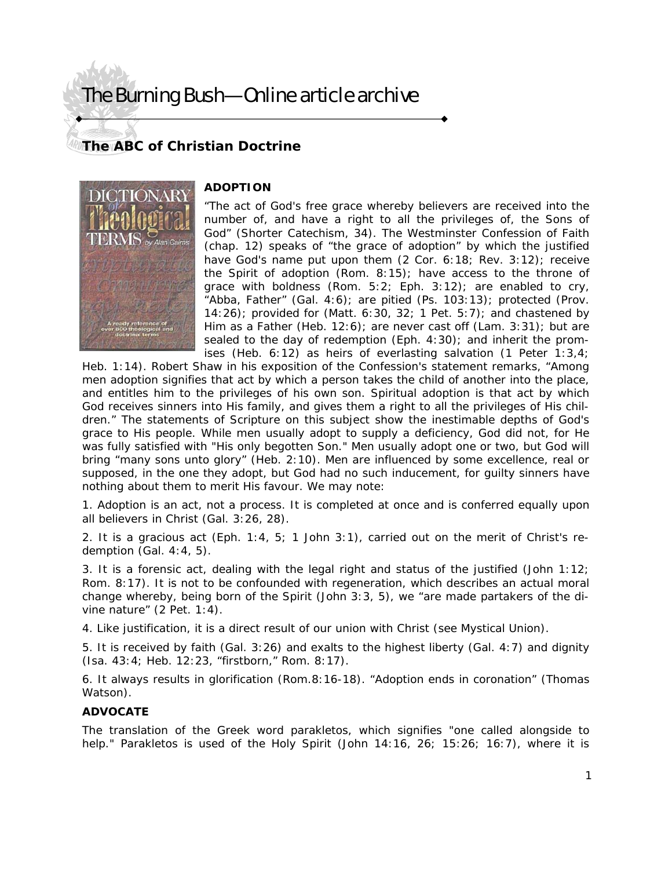## The Burning Bush—Online article archive

### **The ABC of Christian Doctrine**



### **ADOPTION**

"The act of God's free grace whereby believers are received into the number of, and have a right to all the privileges of, the Sons of God" (Shorter Catechism, 34). The Westminster Confession of Faith (chap. 12) speaks of "the grace of adoption" by which the justified have God's name put upon them (2 Cor. 6:18; Rev. 3:12); receive the Spirit of adoption (Rom. 8:15); have access to the throne of grace with boldness (Rom.  $5:2$ ; Eph.  $3:12$ ); are enabled to cry, "Abba, Father" (Gal. 4:6); are pitied (Ps. 103:13); protected (Prov. 14:26); provided for (Matt. 6:30, 32; 1 Pet. 5:7); and chastened by Him as a Father (Heb. 12:6); are never cast off (Lam. 3:31); but are sealed to the day of redemption (Eph. 4:30); and inherit the promises (Heb. 6:12) as heirs of everlasting salvation (1 Peter 1:3,4;

Heb. 1:14). Robert Shaw in his exposition of the Confession's statement remarks, "Among men adoption signifies that act by which a person takes the child of another into the place, and entitles him to the privileges of his own son. Spiritual adoption is that act by which God receives sinners into His family, and gives them a right to all the privileges of His children." The statements of Scripture on this subject show the inestimable depths of God's grace to His people. While men usually adopt to supply a deficiency, God did not, for He was fully satisfied with "His only begotten Son." Men usually adopt one or two, but God will bring "many sons unto glory" (Heb. 2:10). Men are influenced by some excellence, real or supposed, in the one they adopt, but God had no such inducement, for guilty sinners have nothing about them to merit His favour. We may note:

1. Adoption is an act, not a process. It is completed at once and is conferred equally upon all believers in Christ (Gal. 3:26, 28).

2. It is a gracious act (Eph. 1:4, 5; 1 John 3:1), carried out on the merit of Christ's redemption (Gal. 4:4, 5).

3. It is a forensic act, dealing with the legal right and status of the justified (John 1:12; Rom. 8:17). It is not to be confounded with regeneration, which describes an actual moral change whereby, being born of the Spirit (John 3:3, 5), we "are made partakers of the divine nature" (2 Pet. 1:4).

4. Like justification, it is a direct result of our union with Christ (see Mystical Union).

5. It is received by faith (Gal. 3:26) and exalts to the highest liberty (Gal. 4:7) and dignity (Isa. 43:4; Heb. 12:23, "firstborn," Rom. 8:17).

6. It always results in glorification (Rom.8:16-18). "Adoption ends in coronation" (Thomas Watson).

#### **ADVOCATE**

The translation of the Greek word parakletos, which signifies "one called alongside to help." Parakletos is used of the Holy Spirit (John 14:16, 26; 15:26; 16:7), where it is